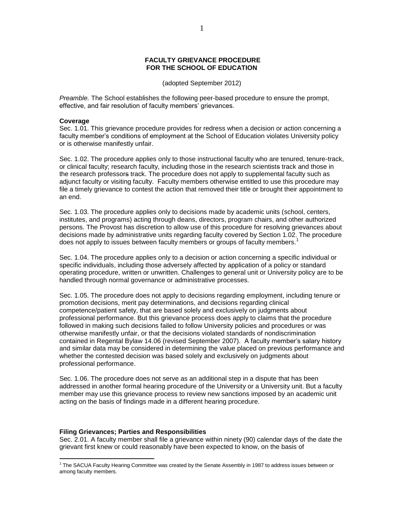## **FACULTY GRIEVANCE PROCEDURE FOR THE SCHOOL OF EDUCATION**

(adopted September 2012)

*Preamble.* The School establishes the following peer-based procedure to ensure the prompt, effective, and fair resolution of faculty members' grievances.

#### **Coverage**

Sec. 1.01. This grievance procedure provides for redress when a decision or action concerning a faculty member's conditions of employment at the School of Education violates University policy or is otherwise manifestly unfair.

Sec. 1.02. The procedure applies only to those instructional faculty who are tenured, tenure-track, or clinical faculty; research faculty, including those in the research scientists track and those in the research professors track. The procedure does not apply to supplemental faculty such as adjunct faculty or visiting faculty. Faculty members otherwise entitled to use this procedure may file a timely grievance to contest the action that removed their title or brought their appointment to an end.

Sec. 1.03. The procedure applies only to decisions made by academic units (school, centers, institutes, and programs) acting through deans, directors, program chairs, and other authorized persons. The Provost has discretion to allow use of this procedure for resolving grievances about decisions made by administrative units regarding faculty covered by Section 1.02. The procedure does not apply to issues between faculty members or groups of faculty members.<sup>1</sup>

Sec. 1.04. The procedure applies only to a decision or action concerning a specific individual or specific individuals, including those adversely affected by application of a policy or standard operating procedure, written or unwritten. Challenges to general unit or University policy are to be handled through normal governance or administrative processes.

Sec. 1.05. The procedure does not apply to decisions regarding employment, including tenure or promotion decisions, merit pay determinations, and decisions regarding clinical competence/patient safety, that are based solely and exclusively on judgments about professional performance. But this grievance process does apply to claims that the procedure followed in making such decisions failed to follow University policies and procedures or was otherwise manifestly unfair, or that the decisions violated standards of nondiscrimination contained in Regental Bylaw 14.06 (revised September 2007). A faculty member's salary history and similar data may be considered in determining the value placed on previous performance and whether the contested decision was based solely and exclusively on judgments about professional performance.

Sec. 1.06. The procedure does not serve as an additional step in a dispute that has been addressed in another formal hearing procedure of the University or a University unit. But a faculty member may use this grievance process to review new sanctions imposed by an academic unit acting on the basis of findings made in a different hearing procedure.

# **Filing Grievances; Parties and Responsibilities**

Sec. 2.01. A faculty member shall file a grievance within ninety (90) calendar days of the date the grievant first knew or could reasonably have been expected to know, on the basis of

 $\overline{a}$ <sup>1</sup> The SACUA Faculty Hearing Committee was created by the Senate Assembly in 1987 to address issues between or among faculty members.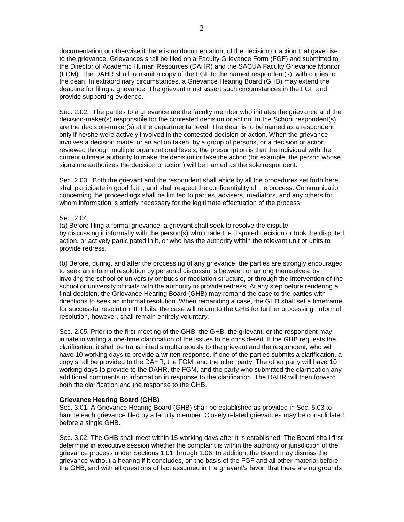documentation or otherwise if there is no documentation, of the decision or action that gave rise to the grievance. Grievances shall be filed on a Faculty Grievance Form (FGF) and submitted to the Director of Academic Human Resources (DAHR) and the SACUA Faculty Grievance Monitor (FGM). The DAHR shall transmit a copy of the FGF to the named respondent(s), with copies to the dean. In extraordinary circumstances, a Grievance Hearing Board (GHB) may extend the deadline for filing a grievance. The grievant must assert such circumstances in the FGF and provide supporting evidence.

Sec. 2.02. The parties to a grievance are the faculty member who initiates the grievance and the decision-maker(s) responsible for the contested decision or action. In the School respondent(s) are the decision-maker(s) at the departmental level. The dean is to be named as a respondent only if he/she were actively involved in the contested decision or action. When the grievance involves a decision made, or an action taken, by a group of persons, or a decision or action reviewed through multiple organizational levels, the presumption is that the individual with the current ultimate authority to make the decision or take the action (for example, the person whose signature authorizes the decision or action) will be named as the sole respondent.

Sec. 2.03. Both the grievant and the respondent shall abide by all the procedures set forth here, shall participate in good faith, and shall respect the confidentiality of the process. Communication concerning the proceedings shall be limited to parties, advisers, mediators, and any others for whom information is strictly necessary for the legitimate effectuation of the process.

## Sec. 2.04.

(a) Before filing a formal grievance, a grievant shall seek to resolve the dispute by discussing it informally with the person(s) who made the disputed decision or took the disputed action, or actively participated in it, or who has the authority within the relevant unit or units to provide redress.

(b) Before, during, and after the processing of any grievance, the parties are strongly encouraged to seek an informal resolution by personal discussions between or among themselves, by invoking the school or university ombuds or mediation structure, or through the intervention of the school or university officials with the authority to provide redress. At any step before rendering a final decision, the Grievance Hearing Board (GHB) may remand the case to the parties with directions to seek an informal resolution. When remanding a case, the GHB shall set a timeframe for successful resolution. If it fails, the case will return to the GHB for further processing. Informal resolution, however, shall remain entirely voluntary.

Sec. 2.05. Prior to the first meeting of the GHB, the GHB, the grievant, or the respondent may initiate in writing a one-time clarification of the issues to be considered. If the GHB requests the clarification, it shall be transmitted simultaneously to the grievant and the respondent, who will have 10 working days to provide a written response. If one of the parties submits a clarification, a copy shall be provided to the DAHR, the FGM, and the other party. The other party will have 10 working days to provide to the DAHR, the FGM, and the party who submitted the clarification any additional comments or information in response to the clarification. The DAHR will then forward both the clarification and the response to the GHB.

# **Grievance Hearing Board (GHB)**

Sec. 3.01. A Grievance Hearing Board (GHB) shall be established as provided in Sec. 5.03 to handle each grievance filed by a faculty member. Closely related grievances may be consolidated before a single GHB.

Sec. 3.02. The GHB shall meet within 15 working days after it is established. The Board shall first determine in executive session whether the complaint is within the authority or jurisdiction of the grievance process under Sections 1.01 through 1.06. In addition, the Board may dismiss the grievance without a hearing if it concludes, on the basis of the FGF and all other material before the GHB, and with all questions of fact assumed in the grievant's favor, that there are no grounds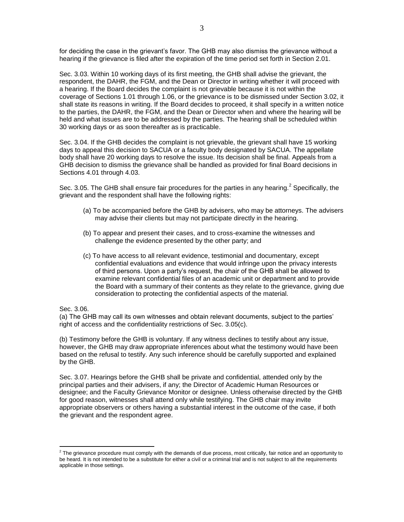for deciding the case in the grievant's favor. The GHB may also dismiss the grievance without a hearing if the grievance is filed after the expiration of the time period set forth in Section 2.01.

Sec. 3.03. Within 10 working days of its first meeting, the GHB shall advise the grievant, the respondent, the DAHR, the FGM, and the Dean or Director in writing whether it will proceed with a hearing. If the Board decides the complaint is not grievable because it is not within the coverage of Sections 1.01 through 1.06, or the grievance is to be dismissed under Section 3.02, it shall state its reasons in writing. If the Board decides to proceed, it shall specify in a written notice to the parties, the DAHR, the FGM, and the Dean or Director when and where the hearing will be held and what issues are to be addressed by the parties. The hearing shall be scheduled within 30 working days or as soon thereafter as is practicable.

Sec. 3.04. If the GHB decides the complaint is not grievable, the grievant shall have 15 working days to appeal this decision to SACUA or a faculty body designated by SACUA. The appellate body shall have 20 working days to resolve the issue. Its decision shall be final. Appeals from a GHB decision to dismiss the grievance shall be handled as provided for final Board decisions in Sections 4.01 through 4.03.

Sec. 3.05. The GHB shall ensure fair procedures for the parties in any hearing.<sup>2</sup> Specifically, the grievant and the respondent shall have the following rights:

- (a) To be accompanied before the GHB by advisers, who may be attorneys. The advisers may advise their clients but may not participate directly in the hearing.
- (b) To appear and present their cases, and to cross-examine the witnesses and challenge the evidence presented by the other party; and
- (c) To have access to all relevant evidence, testimonial and documentary, except confidential evaluations and evidence that would infringe upon the privacy interests of third persons. Upon a party's request, the chair of the GHB shall be allowed to examine relevant confidential files of an academic unit or department and to provide the Board with a summary of their contents as they relate to the grievance, giving due consideration to protecting the confidential aspects of the material.

Sec. 3.06.

(a) The GHB may call its own witnesses and obtain relevant documents, subject to the parties' right of access and the confidentiality restrictions of Sec. 3.05(c).

(b) Testimony before the GHB is voluntary. If any witness declines to testify about any issue, however, the GHB may draw appropriate inferences about what the testimony would have been based on the refusal to testify. Any such inference should be carefully supported and explained by the GHB.

Sec. 3.07. Hearings before the GHB shall be private and confidential, attended only by the principal parties and their advisers, if any; the Director of Academic Human Resources or designee; and the Faculty Grievance Monitor or designee. Unless otherwise directed by the GHB for good reason, witnesses shall attend only while testifying. The GHB chair may invite appropriate observers or others having a substantial interest in the outcome of the case, if both the grievant and the respondent agree.

 $\frac{2}{3}$  The grievance procedure must comply with the demands of due process, most critically, fair notice and an opportunity to be heard. It is not intended to be a substitute for either a civil or a criminal trial and is not subject to all the requirements applicable in those settings.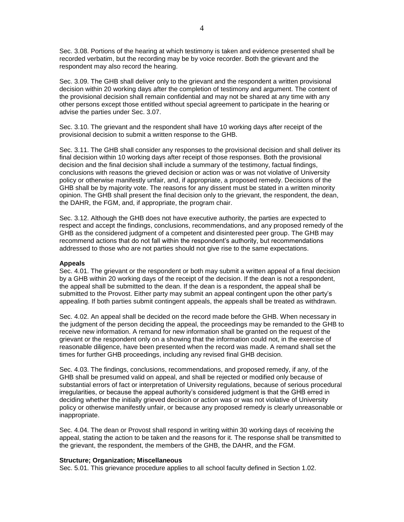Sec. 3.08. Portions of the hearing at which testimony is taken and evidence presented shall be recorded verbatim, but the recording may be by voice recorder. Both the grievant and the respondent may also record the hearing.

Sec. 3.09. The GHB shall deliver only to the grievant and the respondent a written provisional decision within 20 working days after the completion of testimony and argument. The content of the provisional decision shall remain confidential and may not be shared at any time with any other persons except those entitled without special agreement to participate in the hearing or advise the parties under Sec. 3.07.

Sec. 3.10. The grievant and the respondent shall have 10 working days after receipt of the provisional decision to submit a written response to the GHB.

Sec. 3.11. The GHB shall consider any responses to the provisional decision and shall deliver its final decision within 10 working days after receipt of those responses. Both the provisional decision and the final decision shall include a summary of the testimony, factual findings, conclusions with reasons the grieved decision or action was or was not violative of University policy or otherwise manifestly unfair, and, if appropriate, a proposed remedy. Decisions of the GHB shall be by majority vote. The reasons for any dissent must be stated in a written minority opinion. The GHB shall present the final decision only to the grievant, the respondent, the dean, the DAHR, the FGM, and, if appropriate, the program chair.

Sec. 3.12. Although the GHB does not have executive authority, the parties are expected to respect and accept the findings, conclusions, recommendations, and any proposed remedy of the GHB as the considered judgment of a competent and disinterested peer group. The GHB may recommend actions that do not fall within the respondent's authority, but recommendations addressed to those who are not parties should not give rise to the same expectations.

#### **Appeals**

Sec. 4.01. The grievant or the respondent or both may submit a written appeal of a final decision by a GHB within 20 working days of the receipt of the decision. If the dean is not a respondent, the appeal shall be submitted to the dean. If the dean is a respondent, the appeal shall be submitted to the Provost. Either party may submit an appeal contingent upon the other party's appealing. If both parties submit contingent appeals, the appeals shall be treated as withdrawn.

Sec. 4.02. An appeal shall be decided on the record made before the GHB. When necessary in the judgment of the person deciding the appeal, the proceedings may be remanded to the GHB to receive new information. A remand for new information shall be granted on the request of the grievant or the respondent only on a showing that the information could not, in the exercise of reasonable diligence, have been presented when the record was made. A remand shall set the times for further GHB proceedings, including any revised final GHB decision.

Sec. 4.03. The findings, conclusions, recommendations, and proposed remedy, if any, of the GHB shall be presumed valid on appeal, and shall be rejected or modified only because of substantial errors of fact or interpretation of University regulations, because of serious procedural irregularities, or because the appeal authority's considered judgment is that the GHB erred in deciding whether the initially grieved decision or action was or was not violative of University policy or otherwise manifestly unfair, or because any proposed remedy is clearly unreasonable or inappropriate.

Sec. 4.04. The dean or Provost shall respond in writing within 30 working days of receiving the appeal, stating the action to be taken and the reasons for it. The response shall be transmitted to the grievant, the respondent, the members of the GHB, the DAHR, and the FGM.

# **Structure; Organization; Miscellaneous**

Sec. 5.01. This grievance procedure applies to all school faculty defined in Section 1.02.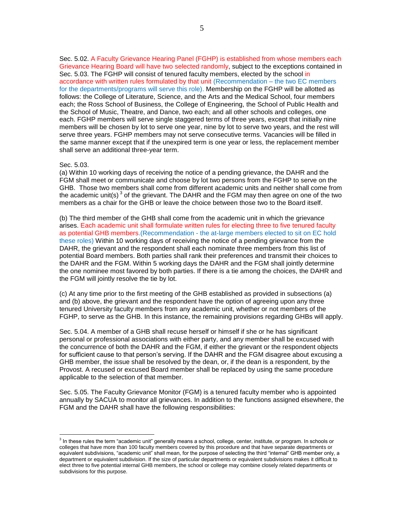Sec. 5.02. A Faculty Grievance Hearing Panel (FGHP) is established from whose members each Grievance Hearing Board will have two selected randomly, subject to the exceptions contained in Sec. 5.03. The FGHP will consist of tenured faculty members, elected by the school in accordance with written rules formulated by that unit (Recommendation – the two EC members for the departments/programs will serve this role). Membership on the FGHP will be allotted as follows: the College of Literature, Science, and the Arts and the Medical School, four members each; the Ross School of Business, the College of Engineering, the School of Public Health and the School of Music, Theatre, and Dance, two each; and all other schools and colleges, one each. FGHP members will serve single staggered terms of three years, except that initially nine members will be chosen by lot to serve one year, nine by lot to serve two years, and the rest will serve three years. FGHP members may not serve consecutive terms. Vacancies will be filled in the same manner except that if the unexpired term is one year or less, the replacement member shall serve an additional three-year term.

#### Sec. 5.03.

(a) Within 10 working days of receiving the notice of a pending grievance, the DAHR and the FGM shall meet or communicate and choose by lot two persons from the FGHP to serve on the GHB. Those two members shall come from different academic units and neither shall come from the academic unit(s)<sup>3</sup> of the grievant. The DAHR and the FGM may then agree on one of the two members as a chair for the GHB or leave the choice between those two to the Board itself.

(b) The third member of the GHB shall come from the academic unit in which the grievance arises. Each academic unit shall formulate written rules for electing three to five tenured faculty as potential GHB members.(Recommendation - the at-large members elected to sit on EC hold these roles) Within 10 working days of receiving the notice of a pending grievance from the DAHR, the grievant and the respondent shall each nominate three members from this list of potential Board members. Both parties shall rank their preferences and transmit their choices to the DAHR and the FGM. Within 5 working days the DAHR and the FGM shall jointly determine the one nominee most favored by both parties. If there is a tie among the choices, the DAHR and the FGM will jointly resolve the tie by lot.

(c) At any time prior to the first meeting of the GHB established as provided in subsections (a) and (b) above, the grievant and the respondent have the option of agreeing upon any three tenured University faculty members from any academic unit, whether or not members of the FGHP, to serve as the GHB. In this instance, the remaining provisions regarding GHBs will apply.

Sec. 5.04. A member of a GHB shall recuse herself or himself if she or he has significant personal or professional associations with either party, and any member shall be excused with the concurrence of both the DAHR and the FGM, if either the grievant or the respondent objects for sufficient cause to that person's serving. If the DAHR and the FGM disagree about excusing a GHB member, the issue shall be resolved by the dean, or, if the dean is a respondent, by the Provost. A recused or excused Board member shall be replaced by using the same procedure applicable to the selection of that member.

Sec. 5.05. The Faculty Grievance Monitor (FGM) is a tenured faculty member who is appointed annually by SACUA to monitor all grievances. In addition to the functions assigned elsewhere, the FGM and the DAHR shall have the following responsibilities:

 3 In these rules the term "academic unit" generally means a school, college, center, institute, or program. In schools or colleges that have more than 100 faculty members covered by this procedure and that have separate departments or equivalent subdivisions, "academic unit" shall mean, for the purpose of selecting the third "internal" GHB member only, a department or equivalent subdivision. If the size of particular departments or equivalent subdivisions makes it difficult to elect three to five potential internal GHB members, the school or college may combine closely related departments or subdivisions for this purpose.